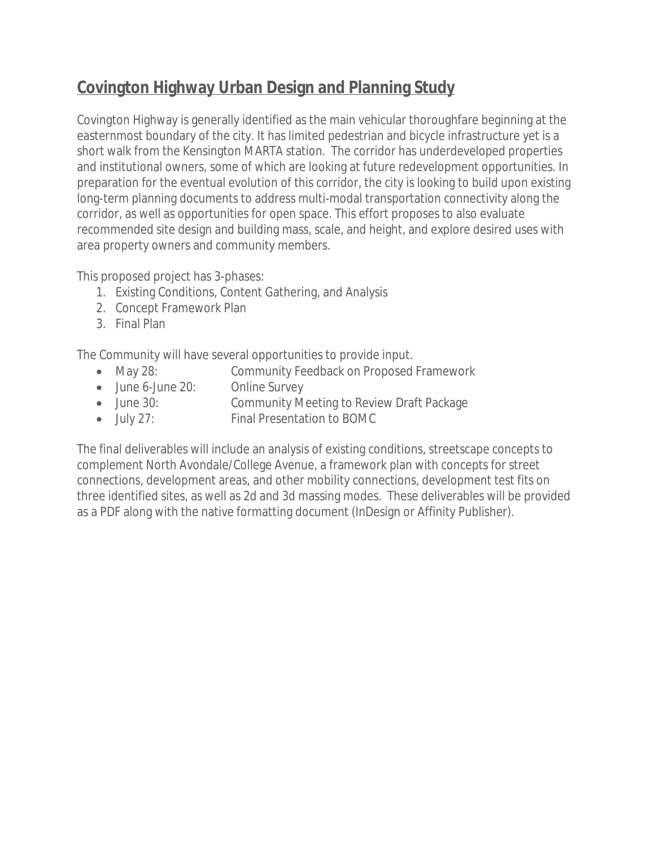## **Covington Highway Urban Design and Planning Study**

Covington Highway is generally identified as the main vehicular thoroughfare beginning at the easternmost boundary of the city. It has limited pedestrian and bicycle infrastructure yet is a short walk from the Kensington MARTA station. The corridor has underdeveloped properties and institutional owners, some of which are looking at future redevelopment opportunities. In preparation for the eventual evolution of this corridor, the city is looking to build upon existing long-term planning documents to address multi-modal transportation connectivity along the corridor, as well as opportunities for open space. This effort proposes to also evaluate recommended site design and building mass, scale, and height, and explore desired uses with area property owners and community members.

This proposed project has 3-phases:

- 1. Existing Conditions, Content Gathering, and Analysis
- 2. Concept Framework Plan
- 3. Final Plan

The Community will have several opportunities to provide input.

- May 28: Community Feedback on Proposed Framework
- June 6-June 20: Online Survey
- June 30: Community Meeting to Review Draft Package
- July 27: Final Presentation to BOMC

The final deliverables will include an analysis of existing conditions, streetscape concepts to complement North Avondale/College Avenue, a framework plan with concepts for street connections, development areas, and other mobility connections, development test fits on three identified sites, as well as 2d and 3d massing modes. These deliverables will be provided as a PDF along with the native formatting document (InDesign or Affinity Publisher).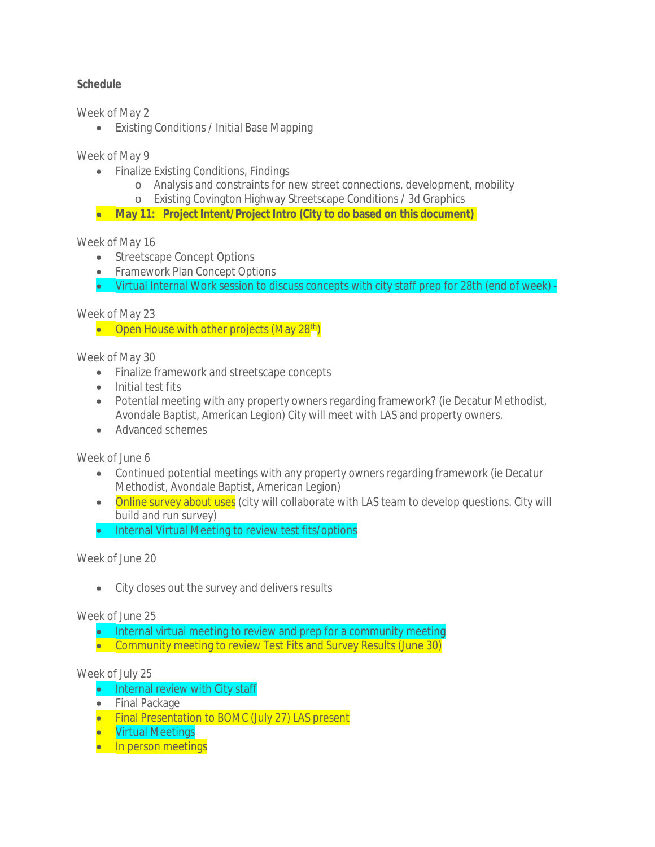## **Schedule**

Week of May 2

Existing Conditions / Initial Base Mapping

Week of May 9

- Finalize Existing Conditions, Findings
	- o Analysis and constraints for new street connections, development, mobility
	- o Existing Covington Highway Streetscape Conditions / 3d Graphics
- **May 11: Project Intent/Project Intro (City to do based on this document)**

## Week of May 16

- Streetscape Concept Options
- Framework Plan Concept Options
- Virtual Internal Work session to discuss concepts with city staff prep for 28th (end of week) -

Week of May 23

• Open House with other projects (May 28<sup>th</sup>)

Week of May 30

- Finalize framework and streetscape concepts
- Initial test fits
- Potential meeting with any property owners regarding framework? (ie Decatur Methodist, Avondale Baptist, American Legion) City will meet with LAS and property owners.
- Advanced schemes

Week of June 6

- Continued potential meetings with any property owners regarding framework (ie Decatur Methodist, Avondale Baptist, American Legion)
- Online survey about uses (city will collaborate with LAS team to develop questions. City will build and run survey)
- Internal Virtual Meeting to review test fits/options

Week of June 20

• City closes out the survey and delivers results

Week of June 25

• Internal virtual meeting to review and prep for a community meeting • Community meeting to review Test Fits and Survey Results (June 30)

## Week of July 25

- Internal review with City staff
- Final Package
- Final Presentation to BOMC (July 27) LAS present
- **•** Virtual Meetings
- In person meetings